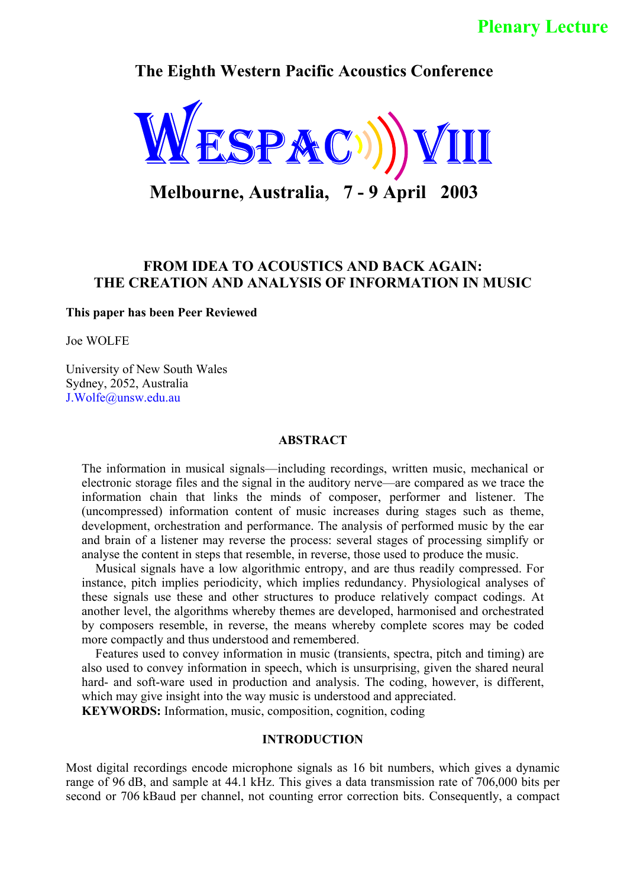# **Plenary Lecture**

**The Eighth Western Pacific Acoustics Conference**



**Melbourne, Australia, 7 - 9 April 2003**

## **FROM IDEA TO ACOUSTICS AND BACK AGAIN: THE CREATION AND ANALYSIS OF INFORMATION IN MUSIC**

**This paper has been Peer Reviewed**

Joe WOLFE

University of New South Wales Sydney, 2052, Australia J.Wolfe@unsw.edu.au

#### **ABSTRACT**

The information in musical signals—including recordings, written music, mechanical or electronic storage files and the signal in the auditory nerve—are compared as we trace the information chain that links the minds of composer, performer and listener. The (uncompressed) information content of music increases during stages such as theme, development, orchestration and performance. The analysis of performed music by the ear and brain of a listener may reverse the process: several stages of processing simplify or analyse the content in steps that resemble, in reverse, those used to produce the music.

Musical signals have a low algorithmic entropy, and are thus readily compressed. For instance, pitch implies periodicity, which implies redundancy. Physiological analyses of these signals use these and other structures to produce relatively compact codings. At another level, the algorithms whereby themes are developed, harmonised and orchestrated by composers resemble, in reverse, the means whereby complete scores may be coded more compactly and thus understood and remembered.

Features used to convey information in music (transients, spectra, pitch and timing) are also used to convey information in speech, which is unsurprising, given the shared neural hard- and soft-ware used in production and analysis. The coding, however, is different, which may give insight into the way music is understood and appreciated.

**KEYWORDS:** Information, music, composition, cognition, coding

#### **INTRODUCTION**

Most digital recordings encode microphone signals as 16 bit numbers, which gives a dynamic range of 96 dB, and sample at 44.1 kHz. This gives a data transmission rate of 706,000 bits per second or 706 kBaud per channel, not counting error correction bits. Consequently, a compact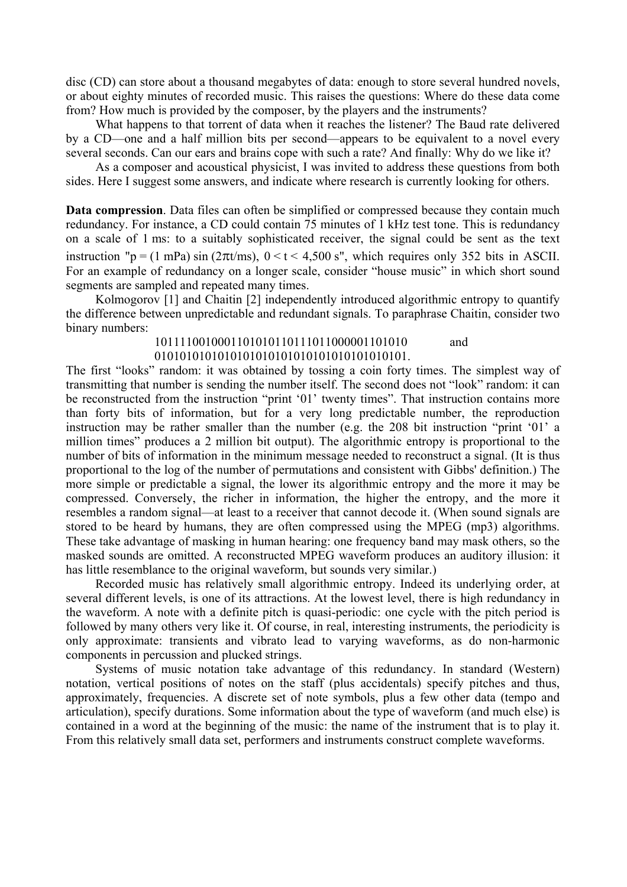disc (CD) can store about a thousand megabytes of data: enough to store several hundred novels, or about eighty minutes of recorded music. This raises the questions: Where do these data come from? How much is provided by the composer, by the players and the instruments?

What happens to that torrent of data when it reaches the listener? The Baud rate delivered by a CD—one and a half million bits per second—appears to be equivalent to a novel every several seconds. Can our ears and brains cope with such a rate? And finally: Why do we like it?

As a composer and acoustical physicist, I was invited to address these questions from both sides. Here I suggest some answers, and indicate where research is currently looking for others.

**Data compression**. Data files can often be simplified or compressed because they contain much redundancy. For instance, a CD could contain 75 minutes of 1 kHz test tone. This is redundancy on a scale of 1 ms: to a suitably sophisticated receiver, the signal could be sent as the text instruction "p = (1 mPa) sin (2 $\pi$ t/ms), 0 < t < 4,500 s", which requires only 352 bits in ASCII. For an example of redundancy on a longer scale, consider "house music" in which short sound segments are sampled and repeated many times.

Kolmogorov [1] and Chaitin [2] independently introduced algorithmic entropy to quantify the difference between unpredictable and redundant signals. To paraphrase Chaitin, consider two binary numbers:

> 1011110010001101010110111011000001101010 and 0101010101010101010101010101010101010101.

The first "looks" random: it was obtained by tossing a coin forty times. The simplest way of transmitting that number is sending the number itself. The second does not "look" random: it can be reconstructed from the instruction "print '01' twenty times". That instruction contains more than forty bits of information, but for a very long predictable number, the reproduction instruction may be rather smaller than the number (e.g. the 208 bit instruction "print '01' a million times" produces a 2 million bit output). The algorithmic entropy is proportional to the number of bits of information in the minimum message needed to reconstruct a signal. (It is thus proportional to the log of the number of permutations and consistent with Gibbs' definition.) The more simple or predictable a signal, the lower its algorithmic entropy and the more it may be compressed. Conversely, the richer in information, the higher the entropy, and the more it resembles a random signal—at least to a receiver that cannot decode it. (When sound signals are stored to be heard by humans, they are often compressed using the MPEG (mp3) algorithms. These take advantage of masking in human hearing: one frequency band may mask others, so the masked sounds are omitted. A reconstructed MPEG waveform produces an auditory illusion: it has little resemblance to the original waveform, but sounds very similar.)

Recorded music has relatively small algorithmic entropy. Indeed its underlying order, at several different levels, is one of its attractions. At the lowest level, there is high redundancy in the waveform. A note with a definite pitch is quasi-periodic: one cycle with the pitch period is followed by many others very like it. Of course, in real, interesting instruments, the periodicity is only approximate: transients and vibrato lead to varying waveforms, as do non-harmonic components in percussion and plucked strings.

Systems of music notation take advantage of this redundancy. In standard (Western) notation, vertical positions of notes on the staff (plus accidentals) specify pitches and thus, approximately, frequencies. A discrete set of note symbols, plus a few other data (tempo and articulation), specify durations. Some information about the type of waveform (and much else) is contained in a word at the beginning of the music: the name of the instrument that is to play it. From this relatively small data set, performers and instruments construct complete waveforms.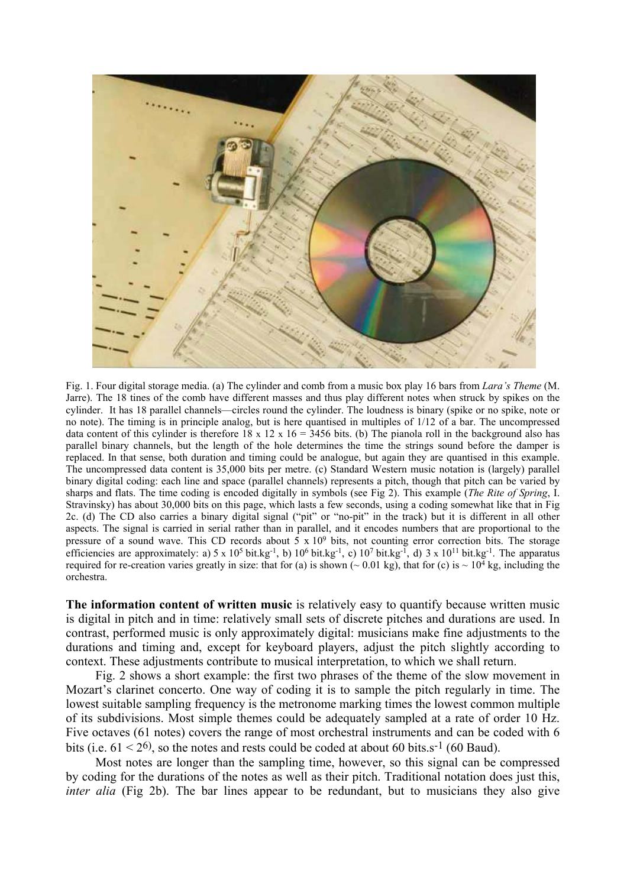

Fig. 1. Four digital storage media. (a) The cylinder and comb from a music box play 16 bars from *Lara's Theme* (M. Jarre). The 18 tines of the comb have different masses and thus play different notes when struck by spikes on the cylinder. It has 18 parallel channels—circles round the cylinder. The loudness is binary (spike or no spike, note or no note). The timing is in principle analog, but is here quantised in multiples of 1/12 of a bar. The uncompressed data content of this cylinder is therefore 18 x 12 x 16 = 3456 bits. (b) The pianola roll in the background also has parallel binary channels, but the length of the hole determines the time the strings sound before the damper is replaced. In that sense, both duration and timing could be analogue, but again they are quantised in this example. The uncompressed data content is 35,000 bits per metre. (c) Standard Western music notation is (largely) parallel binary digital coding: each line and space (parallel channels) represents a pitch, though that pitch can be varied by sharps and flats. The time coding is encoded digitally in symbols (see Fig 2). This example (*The Rite of Spring*, I. Stravinsky) has about 30,000 bits on this page, which lasts a few seconds, using a coding somewhat like that in Fig 2c. (d) The CD also carries a binary digital signal ("pit" or "no-pit" in the track) but it is different in all other aspects. The signal is carried in serial rather than in parallel, and it encodes numbers that are proportional to the pressure of a sound wave. This CD records about  $5 \times 10^9$  bits, not counting error correction bits. The storage efficiencies are approximately: a)  $5 \times 10^5$  bit.kg<sup>-1</sup>, b)  $10^6$  bit.kg<sup>-1</sup>, c)  $10^7$  bit.kg<sup>-1</sup>, d)  $3 \times 10^{11}$  bit.kg<sup>-1</sup>. The apparatus required for re-creation varies greatly in size: that for (a) is shown ( $\sim 0.01$  kg), that for (c) is  $\sim 10^4$  kg, including the orchestra.

**The information content of written music** is relatively easy to quantify because written music is digital in pitch and in time: relatively small sets of discrete pitches and durations are used. In contrast, performed music is only approximately digital: musicians make fine adjustments to the durations and timing and, except for keyboard players, adjust the pitch slightly according to context. These adjustments contribute to musical interpretation, to which we shall return.

Fig. 2 shows a short example: the first two phrases of the theme of the slow movement in Mozart's clarinet concerto. One way of coding it is to sample the pitch regularly in time. The lowest suitable sampling frequency is the metronome marking times the lowest common multiple of its subdivisions. Most simple themes could be adequately sampled at a rate of order 10 Hz. Five octaves (61 notes) covers the range of most orchestral instruments and can be coded with 6 bits (i.e.  $61 < 2<sup>6</sup>$ ), so the notes and rests could be coded at about 60 bits.s<sup>-1</sup> (60 Baud).

Most notes are longer than the sampling time, however, so this signal can be compressed by coding for the durations of the notes as well as their pitch. Traditional notation does just this, *inter alia* (Fig 2b). The bar lines appear to be redundant, but to musicians they also give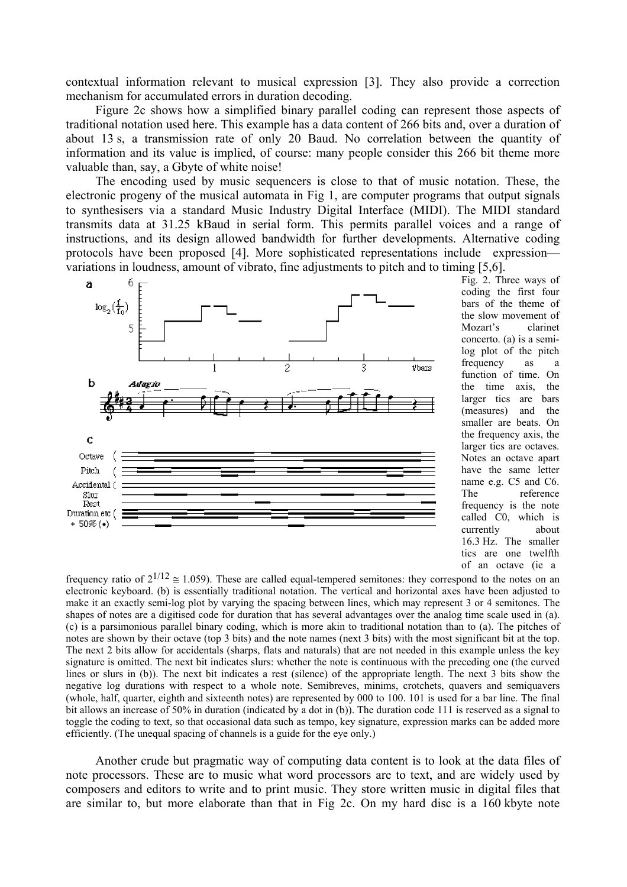contextual information relevant to musical expression [3]. They also provide a correction mechanism for accumulated errors in duration decoding.

Figure 2c shows how a simplified binary parallel coding can represent those aspects of traditional notation used here. This example has a data content of 266 bits and, over a duration of about 13 s, a transmission rate of only 20 Baud. No correlation between the quantity of information and its value is implied, of course: many people consider this 266 bit theme more valuable than, say, a Gbyte of white noise!

The encoding used by music sequencers is close to that of music notation. These, the electronic progeny of the musical automata in Fig 1, are computer programs that output signals to synthesisers via a standard Music Industry Digital Interface (MIDI). The MIDI standard transmits data at 31.25 kBaud in serial form. This permits parallel voices and a range of instructions, and its design allowed bandwidth for further developments. Alternative coding protocols have been proposed [4]. More sophisticated representations include expression variations in loudness, amount of vibrato, fine adjustments to pitch and to timing [5,6].



Fig. 2. Three ways of coding the first four bars of the theme of the slow movement of Mozart's clarinet concerto. (a) is a semilog plot of the pitch frequency as a function of time. On the time axis, the larger tics are bars (measures) and the smaller are beats. On the frequency axis, the larger tics are octaves. Notes an octave apart have the same letter name e.g. C5 and C6. The reference frequency is the note called C0, which is currently about 16.3 Hz. The smaller tics are one twelfth of an octave (ie a

frequency ratio of  $2^{1/12} \approx 1.059$ ). These are called equal-tempered semitones: they correspond to the notes on an electronic keyboard. (b) is essentially traditional notation. The vertical and horizontal axes have been adjusted to make it an exactly semi-log plot by varying the spacing between lines, which may represent 3 or 4 semitones. The shapes of notes are a digitised code for duration that has several advantages over the analog time scale used in (a). (c) is a parsimonious parallel binary coding, which is more akin to traditional notation than to (a). The pitches of notes are shown by their octave (top 3 bits) and the note names (next 3 bits) with the most significant bit at the top. The next 2 bits allow for accidentals (sharps, flats and naturals) that are not needed in this example unless the key signature is omitted. The next bit indicates slurs: whether the note is continuous with the preceding one (the curved lines or slurs in (b)). The next bit indicates a rest (silence) of the appropriate length. The next 3 bits show the negative log durations with respect to a whole note. Semibreves, minims, crotchets, quavers and semiquavers (whole, half, quarter, eighth and sixteenth notes) are represented by 000 to 100. 101 is used for a bar line. The final bit allows an increase of 50% in duration (indicated by a dot in (b)). The duration code 111 is reserved as a signal to toggle the coding to text, so that occasional data such as tempo, key signature, expression marks can be added more efficiently. (The unequal spacing of channels is a guide for the eye only.)

Another crude but pragmatic way of computing data content is to look at the data files of note processors. These are to music what word processors are to text, and are widely used by composers and editors to write and to print music. They store written music in digital files that are similar to, but more elaborate than that in Fig 2c. On my hard disc is a 160 kbyte note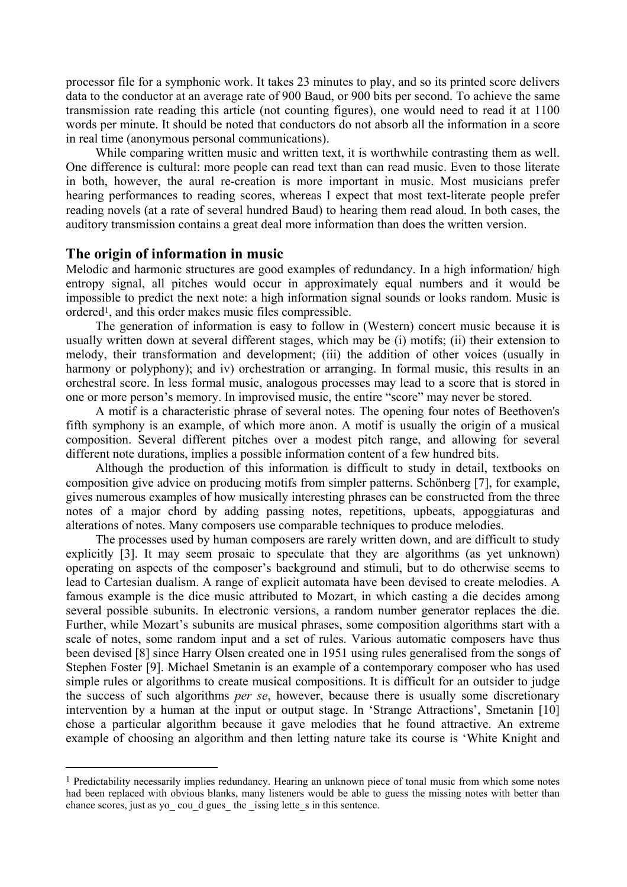processor file for a symphonic work. It takes 23 minutes to play, and so its printed score delivers data to the conductor at an average rate of 900 Baud, or 900 bits per second. To achieve the same transmission rate reading this article (not counting figures), one would need to read it at 1100 words per minute. It should be noted that conductors do not absorb all the information in a score in real time (anonymous personal communications).

While comparing written music and written text, it is worthwhile contrasting them as well. One difference is cultural: more people can read text than can read music. Even to those literate in both, however, the aural re-creation is more important in music. Most musicians prefer hearing performances to reading scores, whereas I expect that most text-literate people prefer reading novels (at a rate of several hundred Baud) to hearing them read aloud. In both cases, the auditory transmission contains a great deal more information than does the written version.

#### **The origin of information in music**

 $\overline{a}$ 

Melodic and harmonic structures are good examples of redundancy. In a high information/ high entropy signal, all pitches would occur in approximately equal numbers and it would be impossible to predict the next note: a high information signal sounds or looks random. Music is ordered[1,](#page-4-0) and this order makes music files compressible.

The generation of information is easy to follow in (Western) concert music because it is usually written down at several different stages, which may be (i) motifs; (ii) their extension to melody, their transformation and development; (iii) the addition of other voices (usually in harmony or polyphony); and iv) orchestration or arranging. In formal music, this results in an orchestral score. In less formal music, analogous processes may lead to a score that is stored in one or more person's memory. In improvised music, the entire "score" may never be stored.

A motif is a characteristic phrase of several notes. The opening four notes of Beethoven's fifth symphony is an example, of which more anon. A motif is usually the origin of a musical composition. Several different pitches over a modest pitch range, and allowing for several different note durations, implies a possible information content of a few hundred bits.

Although the production of this information is difficult to study in detail, textbooks on composition give advice on producing motifs from simpler patterns. Schönberg [7], for example, gives numerous examples of how musically interesting phrases can be constructed from the three notes of a major chord by adding passing notes, repetitions, upbeats, appoggiaturas and alterations of notes. Many composers use comparable techniques to produce melodies.

The processes used by human composers are rarely written down, and are difficult to study explicitly [3]. It may seem prosaic to speculate that they are algorithms (as yet unknown) operating on aspects of the composer's background and stimuli, but to do otherwise seems to lead to Cartesian dualism. A range of explicit automata have been devised to create melodies. A famous example is the dice music attributed to Mozart, in which casting a die decides among several possible subunits. In electronic versions, a random number generator replaces the die. Further, while Mozart's subunits are musical phrases, some composition algorithms start with a scale of notes, some random input and a set of rules. Various automatic composers have thus been devised [8] since Harry Olsen created one in 1951 using rules generalised from the songs of Stephen Foster [9]. Michael Smetanin is an example of a contemporary composer who has used simple rules or algorithms to create musical compositions. It is difficult for an outsider to judge the success of such algorithms *per se*, however, because there is usually some discretionary intervention by a human at the input or output stage. In 'Strange Attractions', Smetanin [10] chose a particular algorithm because it gave melodies that he found attractive. An extreme example of choosing an algorithm and then letting nature take its course is 'White Knight and

<span id="page-4-0"></span><sup>1</sup> Predictability necessarily implies redundancy. Hearing an unknown piece of tonal music from which some notes had been replaced with obvious blanks, many listeners would be able to guess the missing notes with better than chance scores, just as yo\_ cou\_d gues\_ the \_issing lette\_s in this sentence.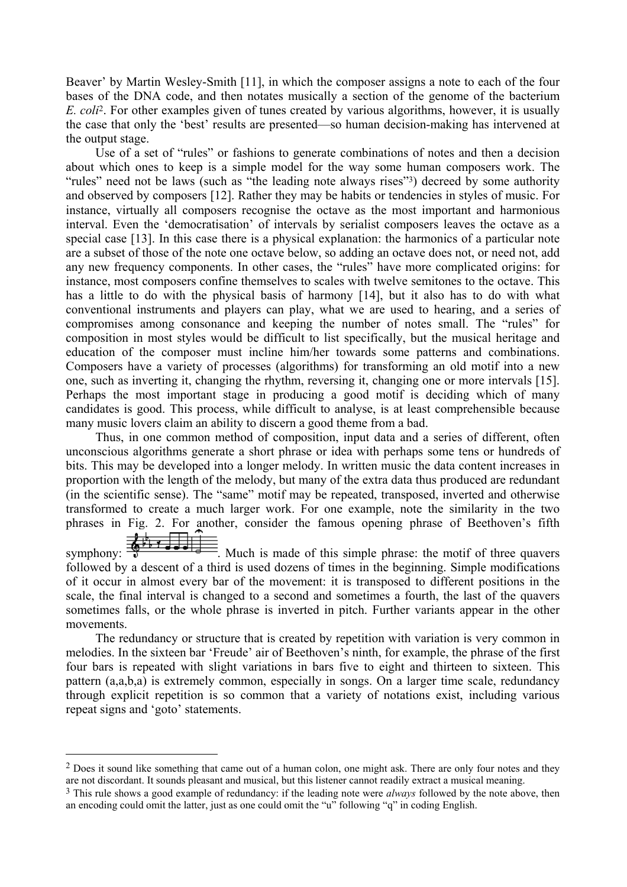Beaver' by Martin Wesley-Smith [11], in which the composer assigns a note to each of the four bases of the DNA code, and then notates musically a section of the genome of the bacterium *E. coli*[2.](#page-5-0) For other examples given of tunes created by various algorithms, however, it is usually the case that only the 'best' results are presented—so human decision-making has intervened at the output stage.

Use of a set of "rules" or fashions to generate combinations of notes and then a decision about which ones to keep is a simple model for the way some human composers work. The "rules" need not be laws (such as "the leading note always rises"[3\)](#page-5-1) decreed by some authority and observed by composers [12]. Rather they may be habits or tendencies in styles of music. For instance, virtually all composers recognise the octave as the most important and harmonious interval. Even the 'democratisation' of intervals by serialist composers leaves the octave as a special case [13]. In this case there is a physical explanation: the harmonics of a particular note are a subset of those of the note one octave below, so adding an octave does not, or need not, add any new frequency components. In other cases, the "rules" have more complicated origins: for instance, most composers confine themselves to scales with twelve semitones to the octave. This has a little to do with the physical basis of harmony [14], but it also has to do with what conventional instruments and players can play, what we are used to hearing, and a series of compromises among consonance and keeping the number of notes small. The "rules" for composition in most styles would be difficult to list specifically, but the musical heritage and education of the composer must incline him/her towards some patterns and combinations. Composers have a variety of processes (algorithms) for transforming an old motif into a new one, such as inverting it, changing the rhythm, reversing it, changing one or more intervals [15]. Perhaps the most important stage in producing a good motif is deciding which of many candidates is good. This process, while difficult to analyse, is at least comprehensible because many music lovers claim an ability to discern a good theme from a bad.

Thus, in one common method of composition, input data and a series of different, often unconscious algorithms generate a short phrase or idea with perhaps some tens or hundreds of bits. This may be developed into a longer melody. In written music the data content increases in proportion with the length of the melody, but many of the extra data thus produced are redundant (in the scientific sense). The "same" motif may be repeated, transposed, inverted and otherwise transformed to create a much larger work. For one example, note the similarity in the two phrases in Fig. 2. For another, consider the famous opening phrase of Beethoven's fifth<br>symphony:  $\frac{1}{\sqrt{2}}$   $\frac{1}{\sqrt{2}}$   $\frac{1}{\sqrt{2}}$   $\frac{1}{\sqrt{2}}$   $\frac{1}{\sqrt{2}}$   $\frac{1}{\sqrt{2}}$   $\frac{1}{\sqrt{2}}$   $\frac{1}{\sqrt{2}}$   $\frac{1}{\sqrt{2}}$   $\frac{1}{$ 

 $\equiv$  Much is made of this simple phrase: the motif of three quavers followed by a descent of a third is used dozens of times in the beginning. Simple modifications of it occur in almost every bar of the movement: it is transposed to different positions in the scale, the final interval is changed to a second and sometimes a fourth, the last of the quavers sometimes falls, or the whole phrase is inverted in pitch. Further variants appear in the other movements.

The redundancy or structure that is created by repetition with variation is very common in melodies. In the sixteen bar 'Freude' air of Beethoven's ninth, for example, the phrase of the first four bars is repeated with slight variations in bars five to eight and thirteen to sixteen. This pattern (a,a,b,a) is extremely common, especially in songs. On a larger time scale, redundancy through explicit repetition is so common that a variety of notations exist, including various repeat signs and 'goto' statements.

 $\overline{a}$ 

<span id="page-5-0"></span><sup>&</sup>lt;sup>2</sup> Does it sound like something that came out of a human colon, one might ask. There are only four notes and they are not discordant. It sounds pleasant and musical, but this listener cannot readily extract a musical meaning.

<span id="page-5-1"></span><sup>3</sup> This rule shows a good example of redundancy: if the leading note were *always* followed by the note above, then an encoding could omit the latter, just as one could omit the "u" following "q" in coding English.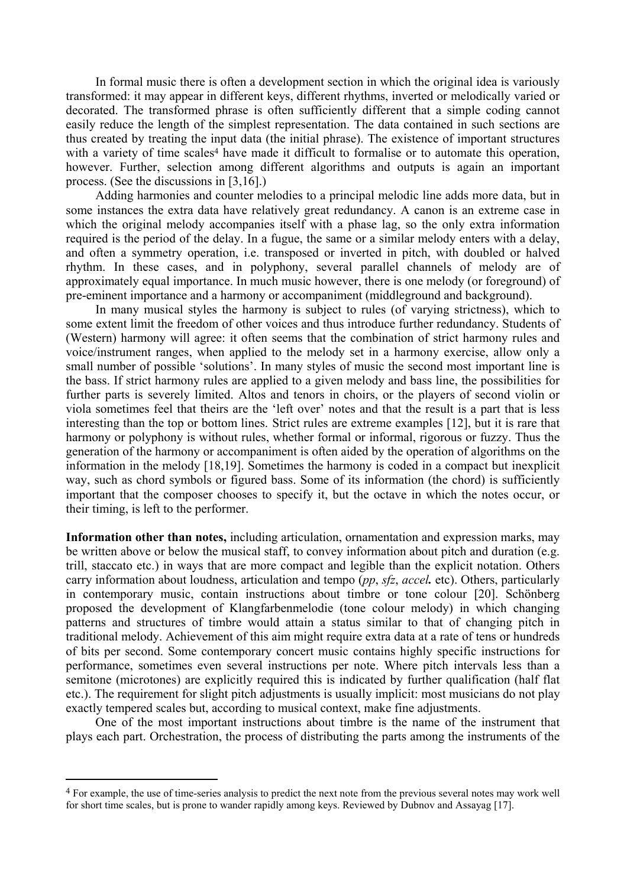In formal music there is often a development section in which the original idea is variously transformed: it may appear in different keys, different rhythms, inverted or melodically varied or decorated. The transformed phrase is often sufficiently different that a simple coding cannot easily reduce the length of the simplest representation. The data contained in such sections are thus created by treating the input data (the initial phrase). The existence of important structures with a variety of time scales<sup>4</sup> have made it difficult to formalise or to automate this operation, however. Further, selection among different algorithms and outputs is again an important process. (See the discussions in [3,16].)

Adding harmonies and counter melodies to a principal melodic line adds more data, but in some instances the extra data have relatively great redundancy. A canon is an extreme case in which the original melody accompanies itself with a phase lag, so the only extra information required is the period of the delay. In a fugue, the same or a similar melody enters with a delay, and often a symmetry operation, i.e. transposed or inverted in pitch, with doubled or halved rhythm. In these cases, and in polyphony, several parallel channels of melody are of approximately equal importance. In much music however, there is one melody (or foreground) of pre-eminent importance and a harmony or accompaniment (middleground and background).

In many musical styles the harmony is subject to rules (of varying strictness), which to some extent limit the freedom of other voices and thus introduce further redundancy. Students of (Western) harmony will agree: it often seems that the combination of strict harmony rules and voice/instrument ranges, when applied to the melody set in a harmony exercise, allow only a small number of possible 'solutions'. In many styles of music the second most important line is the bass. If strict harmony rules are applied to a given melody and bass line, the possibilities for further parts is severely limited. Altos and tenors in choirs, or the players of second violin or viola sometimes feel that theirs are the 'left over' notes and that the result is a part that is less interesting than the top or bottom lines. Strict rules are extreme examples [12], but it is rare that harmony or polyphony is without rules, whether formal or informal, rigorous or fuzzy. Thus the generation of the harmony or accompaniment is often aided by the operation of algorithms on the information in the melody [18,19]. Sometimes the harmony is coded in a compact but inexplicit way, such as chord symbols or figured bass. Some of its information (the chord) is sufficiently important that the composer chooses to specify it, but the octave in which the notes occur, or their timing, is left to the performer.

**Information other than notes,** including articulation, ornamentation and expression marks, may be written above or below the musical staff, to convey information about pitch and duration (e.g. trill, staccato etc.) in ways that are more compact and legible than the explicit notation. Others carry information about loudness, articulation and tempo (*pp*, *sfz*, *accel.* etc). Others, particularly in contemporary music, contain instructions about timbre or tone colour [20]. Schönberg proposed the development of Klangfarbenmelodie (tone colour melody) in which changing patterns and structures of timbre would attain a status similar to that of changing pitch in traditional melody. Achievement of this aim might require extra data at a rate of tens or hundreds of bits per second. Some contemporary concert music contains highly specific instructions for performance, sometimes even several instructions per note. Where pitch intervals less than a semitone (microtones) are explicitly required this is indicated by further qualification (half flat etc.). The requirement for slight pitch adjustments is usually implicit: most musicians do not play exactly tempered scales but, according to musical context, make fine adjustments.

One of the most important instructions about timbre is the name of the instrument that plays each part. Orchestration, the process of distributing the parts among the instruments of the

<span id="page-6-0"></span><sup>4</sup> For example, the use of time-series analysis to predict the next note from the previous several notes may work well for short time scales, but is prone to wander rapidly among keys. Reviewed by Dubnov and Assayag [17].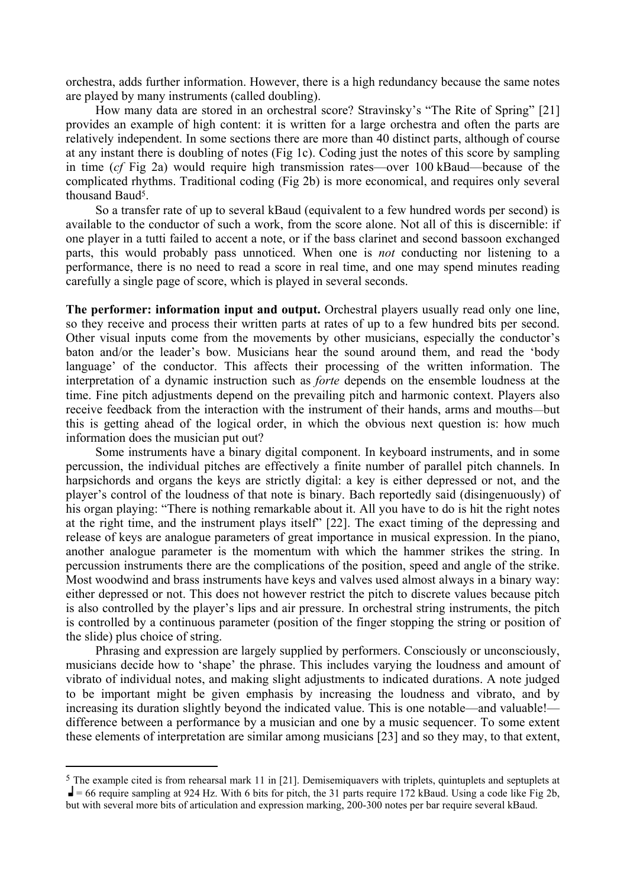orchestra, adds further information. However, there is a high redundancy because the same notes are played by many instruments (called doubling).

How many data are stored in an orchestral score? Stravinsky's "The Rite of Spring" [21] provides an example of high content: it is written for a large orchestra and often the parts are relatively independent. In some sections there are more than 40 distinct parts, although of course at any instant there is doubling of notes (Fig 1c). Coding just the notes of this score by sampling in time (*cf* Fig 2a) would require high transmission rates—over 100 kBaud—because of the complicated rhythms. Traditional coding (Fig 2b) is more economical, and requires only several thousand Baud[5.](#page-7-0)

So a transfer rate of up to several kBaud (equivalent to a few hundred words per second) is available to the conductor of such a work, from the score alone. Not all of this is discernible: if one player in a tutti failed to accent a note, or if the bass clarinet and second bassoon exchanged parts, this would probably pass unnoticed. When one is *not* conducting nor listening to a performance, there is no need to read a score in real time, and one may spend minutes reading carefully a single page of score, which is played in several seconds.

**The performer: information input and output.** Orchestral players usually read only one line, so they receive and process their written parts at rates of up to a few hundred bits per second. Other visual inputs come from the movements by other musicians, especially the conductor's baton and/or the leader's bow. Musicians hear the sound around them, and read the 'body language' of the conductor. This affects their processing of the written information. The interpretation of a dynamic instruction such as *forte* depends on the ensemble loudness at the time. Fine pitch adjustments depend on the prevailing pitch and harmonic context. Players also receive feedback from the interaction with the instrument of their hands, arms and mouths—but this is getting ahead of the logical order, in which the obvious next question is: how much information does the musician put out?

Some instruments have a binary digital component. In keyboard instruments, and in some percussion, the individual pitches are effectively a finite number of parallel pitch channels. In harpsichords and organs the keys are strictly digital: a key is either depressed or not, and the player's control of the loudness of that note is binary. Bach reportedly said (disingenuously) of his organ playing: "There is nothing remarkable about it. All you have to do is hit the right notes at the right time, and the instrument plays itself" [22]. The exact timing of the depressing and release of keys are analogue parameters of great importance in musical expression. In the piano, another analogue parameter is the momentum with which the hammer strikes the string. In percussion instruments there are the complications of the position, speed and angle of the strike. Most woodwind and brass instruments have keys and valves used almost always in a binary way: either depressed or not. This does not however restrict the pitch to discrete values because pitch is also controlled by the player's lips and air pressure. In orchestral string instruments, the pitch is controlled by a continuous parameter (position of the finger stopping the string or position of the slide) plus choice of string.

Phrasing and expression are largely supplied by performers. Consciously or unconsciously, musicians decide how to 'shape' the phrase. This includes varying the loudness and amount of vibrato of individual notes, and making slight adjustments to indicated durations. A note judged to be important might be given emphasis by increasing the loudness and vibrato, and by increasing its duration slightly beyond the indicated value. This is one notable—and valuable! difference between a performance by a musician and one by a music sequencer. To some extent these elements of interpretation are similar among musicians [23] and so they may, to that extent,

<span id="page-7-0"></span> $5$  The example cited is from rehearsal mark 11 in [21]. Demisemiquavers with triplets, quintuplets and septuplets at  $\blacksquare$  = 66 require sampling at 924 Hz. With 6 bits for pitch, the 31 parts require 172 kBaud. Using a code like Fig 2b, but with several more bits of articulation and expression marking, 200-300 notes per bar require several kBaud.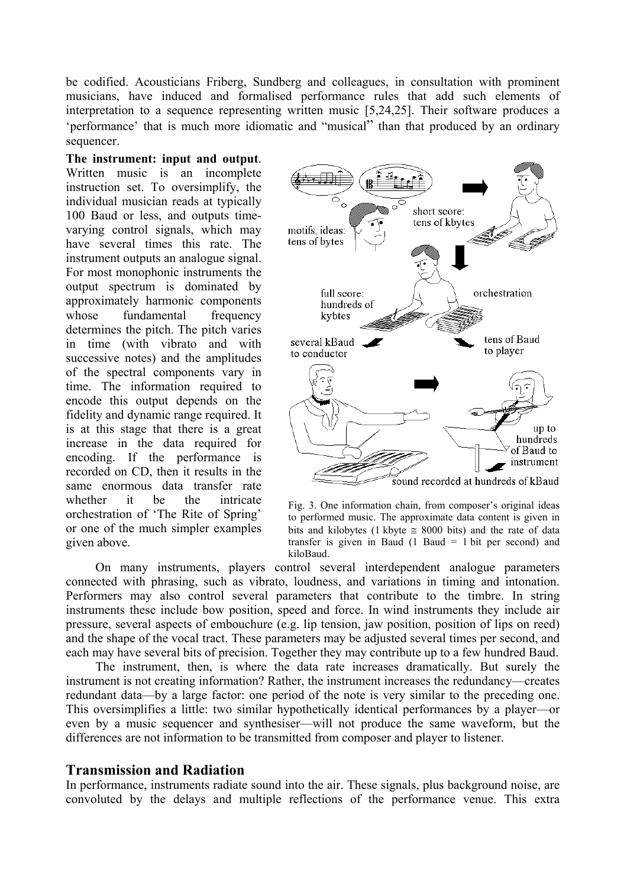<span id="page-8-0"></span>be codified. Acousticians Friberg, Sundberg and colleagues, in consultation with prominent musicians, have induced and formalised performance rules that add such elements of interpretation to a sequence representing written music [5,24,25]. Their software produces a 'performance' that is much more idiomatic and "musical" than that produced by an ordinary sequencer.

## **The instrument: input and output**.

Written music is an incomplete instruction set. To oversimplify, the individual musician reads at typically 100 Baud or less, and outputs timevarying control signals, which may have several times this rate. The instrument outputs an analogue signal. For most monophonic instruments the output spectrum is dominated by approximately harmonic components whose fundamental frequency determines the pitch. The pitch varies in time (with vibrato and with successive notes) and the amplitudes of the spectral components vary in time. The information required to encode this output depends on the fidelity and dynamic range required. It is at this stage that there is a great increase in the data required for encoding. If the performance is recorded on CD, then it results in the same enormous data transfer rate whether it be the intricate orchestration of 'The Rite of Spring' or one of the much simpler examples given above.





On many instruments, players control several interdependent analogue parameters connected with phrasing, such as vibrato, loudness, and variations in timing and intonation. Performers may also control several parameters that contribute to the timbre. In string instruments these include bow position, speed and force. In wind instruments they include air pressure, several aspects of embouchure (e.g. lip tension, jaw position, position of lips on reed) and the shape of the vocal tract. These parameters may be adjusted several times per second, and each may have several bits of precision. Together they may contribute up to a few hundred Baud.

The instrument, then, is where the data rate increases dramatically. But surely the instrument is not creating information? Rather, the instrument increases the redundancy—creates redundant data—by a large factor: one period of the note is very similar to the preceding one. This oversimplifies a little: two similar hypothetically identical performances by a player—or even by a music sequencer and synthesiser—will not produce the same waveform, but the differences are not information to be transmitted from composer and player to listener.

## **Transmission and Radiation**

In performance, instruments radiate sound into the air. These signals, plus background noise, are convoluted by the delays and multiple reflections of the performance venue. This extra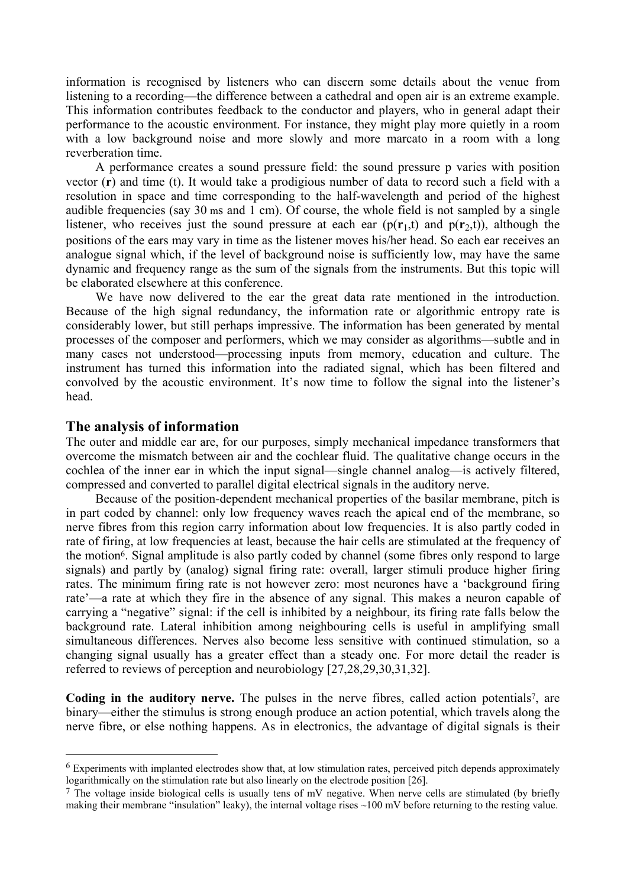information is recognised by listeners who can discern some details about the venue from listening to a recording—the difference between a cathedral and open air is an extreme example. This information contributes feedback to the conductor and players, who in general adapt their performance to the acoustic environment. For instance, they might play more quietly in a room with a low background noise and more slowly and more marcato in a room with a long reverberation time.

A performance creates a sound pressure field: the sound pressure p varies with position vector (**r**) and time (t). It would take a prodigious number of data to record such a field with a resolution in space and time corresponding to the half-wavelength and period of the highest audible frequencies (say 30 ms and 1 cm). Of course, the whole field is not sampled by a single listener, who receives just the sound pressure at each ear  $(p(r_1,t)$  and  $p(r_2,t)$ ), although the positions of the ears may vary in time as the listener moves his/her head. So each ear receives an analogue signal which, if the level of background noise is sufficiently low, may have the same dynamic and frequency range as the sum of the signals from the instruments. But this topic will be elaborated elsewhere at this conference.

We have now delivered to the ear the great data rate mentioned in the introduction. Because of the high signal redundancy, the information rate or algorithmic entropy rate is considerably lower, but still perhaps impressive. The information has been generated by mental processes of the composer and performers, which we may consider as algorithms—subtle and in many cases not understood—processing inputs from memory, education and culture. The instrument has turned this information into the radiated signal, which has been filtered and convolved by the acoustic environment. It's now time to follow the signal into the listener's head.

### **The analysis of information**

 $\overline{a}$ 

The outer and middle ear are, for our purposes, simply mechanical impedance transformers that overcome the mismatch between air and the cochlear fluid. The qualitative change occurs in the cochlea of the inner ear in which the input signal—single channel analog—is actively filtered, compressed and converted to parallel digital electrical signals in the auditory nerve.

Because of the position-dependent mechanical properties of the basilar membrane, pitch is in part coded by channel: only low frequency waves reach the apical end of the membrane, so nerve fibres from this region carry information about low frequencies. It is also partly coded in rate of firing, at low frequencies at least, because the hair cells are stimulated at the frequency of the motion[6.](#page-9-0) Signal amplitude is also partly coded by channel (some fibres only respond to large signals) and partly by (analog) signal firing rate: overall, larger stimuli produce higher firing rates. The minimum firing rate is not however zero: most neurones have a 'background firing rate'—a rate at which they fire in the absence of any signal. This makes a neuron capable of carrying a "negative" signal: if the cell is inhibited by a neighbour, its firing rate falls below the background rate. Lateral inhibition among neighbouring cells is useful in amplifying small simultaneous differences. Nerves also become less sensitive with continued stimulation, so a changing signal usually has a greater effect than a steady one. For more detail the reader is referred to reviews of perception and neurobiology [27,28,29,30,31,32].

Coding in the auditory nerve. The pulses in the nerve fibres, called action potentials<sup>7</sup>, are binary—either the stimulus is strong enough produce an action potential, which travels along the nerve fibre, or else nothing happens. As in electronics, the advantage of digital signals is their

<span id="page-9-0"></span><sup>6</sup> Experiments with implanted electrodes show that, at low stimulation rates, perceived pitch depends approximately logarithmically on the stimulation rate but also linearly on the electrode position [26].

<span id="page-9-1"></span><sup>&</sup>lt;sup>7</sup> The voltage inside biological cells is usually tens of mV negative. When nerve cells are stimulated (by briefly making their membrane "insulation" leaky), the internal voltage rises ~100 mV before returning to the resting value.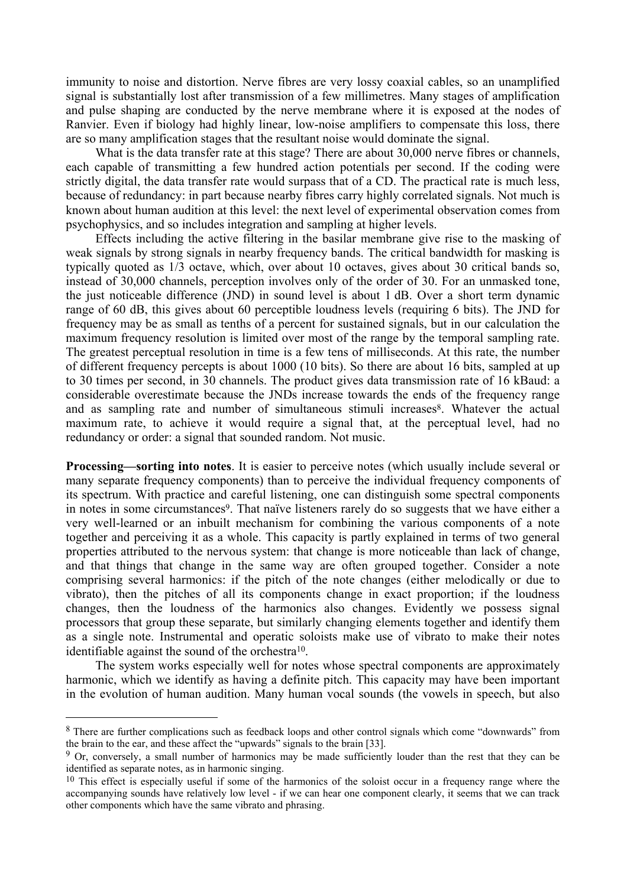immunity to noise and distortion. Nerve fibres are very lossy coaxial cables, so an unamplified signal is substantially lost after transmission of a few millimetres. Many stages of amplification and pulse shaping are conducted by the nerve membrane where it is exposed at the nodes of Ranvier. Even if biology had highly linear, low-noise amplifiers to compensate this loss, there are so many amplification stages that the resultant noise would dominate the signal.

What is the data transfer rate at this stage? There are about 30,000 nerve fibres or channels, each capable of transmitting a few hundred action potentials per second. If the coding were strictly digital, the data transfer rate would surpass that of a CD. The practical rate is much less, because of redundancy: in part because nearby fibres carry highly correlated signals. Not much is known about human audition at this level: the next level of experimental observation comes from psychophysics, and so includes integration and sampling at higher levels.

Effects including the active filtering in the basilar membrane give rise to the masking of weak signals by strong signals in nearby frequency bands. The critical bandwidth for masking is typically quoted as 1/3 octave, which, over about 10 octaves, gives about 30 critical bands so, instead of 30,000 channels, perception involves only of the order of 30. For an unmasked tone, the just noticeable difference (JND) in sound level is about 1 dB. Over a short term dynamic range of 60 dB, this gives about 60 perceptible loudness levels (requiring 6 bits). The JND for frequency may be as small as tenths of a percent for sustained signals, but in our calculation the maximum frequency resolution is limited over most of the range by the temporal sampling rate. The greatest perceptual resolution in time is a few tens of milliseconds. At this rate, the number of different frequency percepts is about 1000 (10 bits). So there are about 16 bits, sampled at up to 30 times per second, in 30 channels. The product gives data transmission rate of 16 kBaud: a considerable overestimate because the JNDs increase towards the ends of the frequency range and as sampling rate and number of simultaneous stimuli increases<sup>8</sup>. Whatever the actual maximum rate, to achieve it would require a signal that, at the perceptual level, had no redundancy or order: a signal that sounded random. Not music.

**Processing—sorting into notes**. It is easier to perceive notes (which usually include several or many separate frequency components) than to perceive the individual frequency components of its spectrum. With practice and careful listening, one can distinguish some spectral components in notes in some circumstances<sup>9</sup>. That naïve listeners rarely do so suggests that we have either a very well-learned or an inbuilt mechanism for combining the various components of a note together and perceiving it as a whole. This capacity is partly explained in terms of two general properties attributed to the nervous system: that change is more noticeable than lack of change, and that things that change in the same way are often grouped together. Consider a note comprising several harmonics: if the pitch of the note changes (either melodically or due to vibrato), then the pitches of all its components change in exact proportion; if the loudness changes, then the loudness of the harmonics also changes. Evidently we possess signal processors that group these separate, but similarly changing elements together and identify them as a single note. Instrumental and operatic soloists make use of vibrato to make their notes identifiable against the sound of the orchestra<sup>10</sup>.

The system works especially well for notes whose spectral components are approximately harmonic, which we identify as having a definite pitch. This capacity may have been important in the evolution of human audition. Many human vocal sounds (the vowels in speech, but also

<span id="page-10-0"></span><sup>8</sup> There are further complications such as feedback loops and other control signals which come "downwards" from the brain to the ear, and these affect the "upwards" signals to the brain [33].

<span id="page-10-1"></span><sup>9</sup> Or, conversely, a small number of harmonics may be made sufficiently louder than the rest that they can be identified as separate notes, as in harmonic singing.

<span id="page-10-2"></span><sup>&</sup>lt;sup>10</sup> This effect is especially useful if some of the harmonics of the soloist occur in a frequency range where the accompanying sounds have relatively low level - if we can hear one component clearly, it seems that we can track other components which have the same vibrato and phrasing.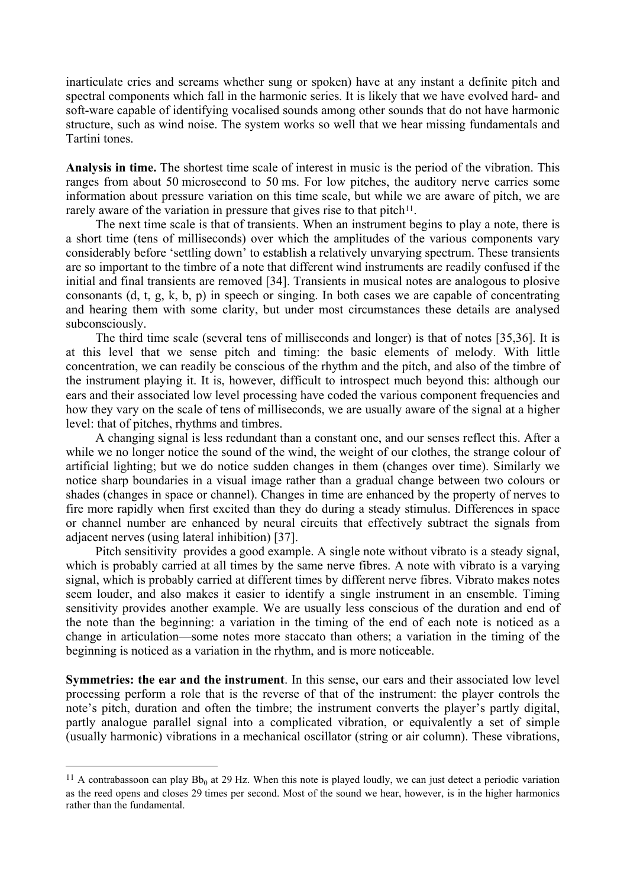inarticulate cries and screams whether sung or spoken) have at any instant a definite pitch and spectral components which fall in the harmonic series. It is likely that we have evolved hard- and soft-ware capable of identifying vocalised sounds among other sounds that do not have harmonic structure, such as wind noise. The system works so well that we hear missing fundamentals and Tartini tones.

**Analysis in time.** The shortest time scale of interest in music is the period of the vibration. This ranges from about 50 microsecond to 50 ms. For low pitches, the auditory nerve carries some information about pressure variation on this time scale, but while we are aware of pitch, we are rarely aware of the variation in pressure that gives rise to that pitch $11$ .

The next time scale is that of transients. When an instrument begins to play a note, there is a short time (tens of milliseconds) over which the amplitudes of the various components vary considerably before 'settling down' to establish a relatively unvarying spectrum. These transients are so important to the timbre of a note that different wind instruments are readily confused if the initial and final transients are removed [34]. Transients in musical notes are analogous to plosive consonants (d, t, g, k, b, p) in speech or singing. In both cases we are capable of concentrating and hearing them with some clarity, but under most circumstances these details are analysed subconsciously.

The third time scale (several tens of milliseconds and longer) is that of notes [35,36]. It is at this level that we sense pitch and timing: the basic elements of melody. With little concentration, we can readily be conscious of the rhythm and the pitch, and also of the timbre of the instrument playing it. It is, however, difficult to introspect much beyond this: although our ears and their associated low level processing have coded the various component frequencies and how they vary on the scale of tens of milliseconds, we are usually aware of the signal at a higher level: that of pitches, rhythms and timbres.

A changing signal is less redundant than a constant one, and our senses reflect this. After a while we no longer notice the sound of the wind, the weight of our clothes, the strange colour of artificial lighting; but we do notice sudden changes in them (changes over time). Similarly we notice sharp boundaries in a visual image rather than a gradual change between two colours or shades (changes in space or channel). Changes in time are enhanced by the property of nerves to fire more rapidly when first excited than they do during a steady stimulus. Differences in space or channel number are enhanced by neural circuits that effectively subtract the signals from adjacent nerves (using lateral inhibition) [37].

Pitch sensitivity provides a good example. A single note without vibrato is a steady signal, which is probably carried at all times by the same nerve fibres. A note with vibrato is a varying signal, which is probably carried at different times by different nerve fibres. Vibrato makes notes seem louder, and also makes it easier to identify a single instrument in an ensemble. Timing sensitivity provides another example. We are usually less conscious of the duration and end of the note than the beginning: a variation in the timing of the end of each note is noticed as a change in articulation—some notes more staccato than others; a variation in the timing of the beginning is noticed as a variation in the rhythm, and is more noticeable.

**Symmetries: the ear and the instrument**. In this sense, our ears and their associated low level processing perform a role that is the reverse of that of the instrument: the player controls the note's pitch, duration and often the timbre; the instrument converts the player's partly digital, partly analogue parallel signal into a complicated vibration, or equivalently a set of simple (usually harmonic) vibrations in a mechanical oscillator (string or air column). These vibrations,

<span id="page-11-0"></span><sup>&</sup>lt;sup>11</sup> A contrabassoon can play  $Bb_0$  at 29 Hz. When this note is played loudly, we can just detect a periodic variation as the reed opens and closes 29 times per second. Most of the sound we hear, however, is in the higher harmonics rather than the fundamental.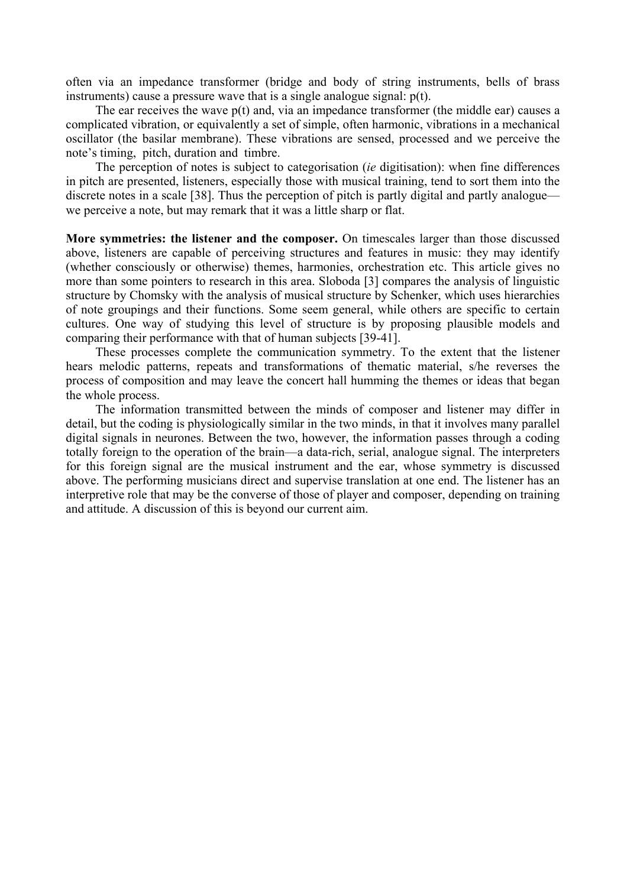often via an impedance transformer (bridge and body of string instruments, bells of brass instruments) cause a pressure wave that is a single analogue signal: p(t).

The ear receives the wave  $p(t)$  and, via an impedance transformer (the middle ear) causes a complicated vibration, or equivalently a set of simple, often harmonic, vibrations in a mechanical oscillator (the basilar membrane). These vibrations are sensed, processed and we perceive the note's timing, pitch, duration and timbre.

The perception of notes is subject to categorisation (*ie* digitisation): when fine differences in pitch are presented, listeners, especially those with musical training, tend to sort them into the discrete notes in a scale [38]. Thus the perception of pitch is partly digital and partly analogue we perceive a note, but may remark that it was a little sharp or flat.

**More symmetries: the listener and the composer.** On timescales larger than those discussed above, listeners are capable of perceiving structures and features in music: they may identify (whether consciously or otherwise) themes, harmonies, orchestration etc. This article gives no more than some pointers to research in this area. Sloboda [3] compares the analysis of linguistic structure by Chomsky with the analysis of musical structure by Schenker, which uses hierarchies of note groupings and their functions. Some seem general, while others are specific to certain cultures. One way of studying this level of structure is by proposing plausible models and comparing their performance with that of human subjects [39-41].

These processes complete the communication symmetry. To the extent that the listener hears melodic patterns, repeats and transformations of thematic material, s/he reverses the process of composition and may leave the concert hall humming the themes or ideas that began the whole process.

The information transmitted between the minds of composer and listener may differ in detail, but the coding is physiologically similar in the two minds, in that it involves many parallel digital signals in neurones. Between the two, however, the information passes through a coding totally foreign to the operation of the brain—a data-rich, serial, analogue signal. The interpreters for this foreign signal are the musical instrument and the ear, whose symmetry is discussed above. The performing musicians direct and supervise translation at one end. The listener has an interpretive role that may be the converse of those of player and composer, depending on training and attitude. A discussion of this is beyond our current aim.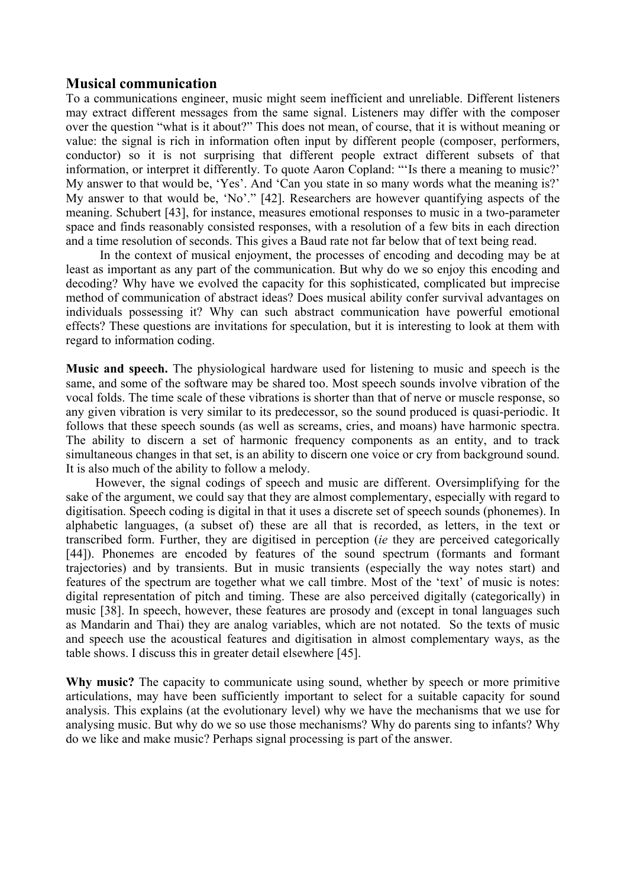## **Musical communication**

To a communications engineer, music might seem inefficient and unreliable. Different listeners may extract different messages from the same signal. Listeners may differ with the composer over the question "what is it about?" This does not mean, of course, that it is without meaning or value: the signal is rich in information often input by different people (composer, performers, conductor) so it is not surprising that different people extract different subsets of that information, or interpret it differently. To quote Aaron Copland: "'Is there a meaning to music?' My answer to that would be, 'Yes'. And 'Can you state in so many words what the meaning is?' My answer to that would be, 'No'." [42]. Researchers are however quantifying aspects of the meaning. Schubert [43], for instance, measures emotional responses to music in a two-parameter space and finds reasonably consisted responses, with a resolution of a few bits in each direction and a time resolution of seconds. This gives a Baud rate not far below that of text being read.

 In the context of musical enjoyment, the processes of encoding and decoding may be at least as important as any part of the communication. But why do we so enjoy this encoding and decoding? Why have we evolved the capacity for this sophisticated, complicated but imprecise method of communication of abstract ideas? Does musical ability confer survival advantages on individuals possessing it? Why can such abstract communication have powerful emotional effects? These questions are invitations for speculation, but it is interesting to look at them with regard to information coding.

**Music and speech.** The physiological hardware used for listening to music and speech is the same, and some of the software may be shared too. Most speech sounds involve vibration of the vocal folds. The time scale of these vibrations is shorter than that of nerve or muscle response, so any given vibration is very similar to its predecessor, so the sound produced is quasi-periodic. It follows that these speech sounds (as well as screams, cries, and moans) have harmonic spectra. The ability to discern a set of harmonic frequency components as an entity, and to track simultaneous changes in that set, is an ability to discern one voice or cry from background sound. It is also much of the ability to follow a melody.

However, the signal codings of speech and music are different. Oversimplifying for the sake of the argument, we could say that they are almost complementary, especially with regard to digitisation. Speech coding is digital in that it uses a discrete set of speech sounds (phonemes). In alphabetic languages, (a subset of) these are all that is recorded, as letters, in the text or transcribed form. Further, they are digitised in perception (*ie* they are perceived categorically [44]). Phonemes are encoded by features of the sound spectrum (formants and formant trajectories) and by transients. But in music transients (especially the way notes start) and features of the spectrum are together what we call timbre. Most of the 'text' of music is notes: digital representation of pitch and timing. These are also perceived digitally (categorically) in music [38]. In speech, however, these features are prosody and (except in tonal languages such as Mandarin and Thai) they are analog variables, which are not notated. So the texts of music and speech use the acoustical features and digitisation in almost complementary ways, as the table shows. I discuss this in greater detail elsewhere [45].

**Why music?** The capacity to communicate using sound, whether by speech or more primitive articulations, may have been sufficiently important to select for a suitable capacity for sound analysis. This explains (at the evolutionary level) why we have the mechanisms that we use for analysing music. But why do we so use those mechanisms? Why do parents sing to infants? Why do we like and make music? Perhaps signal processing is part of the answer.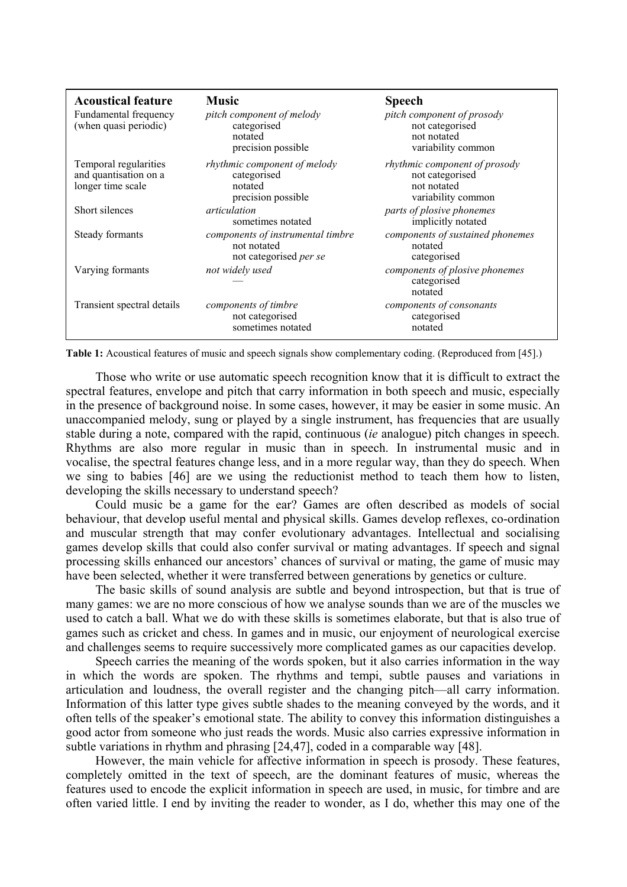| <b>Acoustical feature</b><br>Fundamental frequency<br>(when quasi periodic) | <b>Music</b><br>pitch component of melody<br>categorised<br>notated<br>precision possible | <b>Speech</b><br>pitch component of prosody<br>not categorised<br>not notated<br>variability common |
|-----------------------------------------------------------------------------|-------------------------------------------------------------------------------------------|-----------------------------------------------------------------------------------------------------|
| Temporal regularities<br>and quantisation on a<br>longer time scale         | <i>rhythmic component of melody</i><br>categorised<br>notated<br>precision possible       | <i>rhythmic component of prosody</i><br>not categorised<br>not notated<br>variability common        |
| Short silences                                                              | <i>articulation</i><br>sometimes notated                                                  | parts of plosive phonemes<br>implicitly notated                                                     |
| Steady formants                                                             | components of instrumental timbre<br>not notated<br>not categorised per se                | components of sustained phonemes<br>notated<br>categorised                                          |
| Varying formants                                                            | not widely used                                                                           | components of plosive phonemes<br>categorised<br>notated                                            |
| Transient spectral details                                                  | components of timbre<br>not categorised<br>sometimes notated                              | components of consonants<br>categorised<br>notated                                                  |

**Table 1:** Acoustical features of music and speech signals show complementary coding. (Reproduced from [45].)

Those who write or use automatic speech recognition know that it is difficult to extract the spectral features, envelope and pitch that carry information in both speech and music, especially in the presence of background noise. In some cases, however, it may be easier in some music. An unaccompanied melody, sung or played by a single instrument, has frequencies that are usually stable during a note, compared with the rapid, continuous (*ie* analogue) pitch changes in speech. Rhythms are also more regular in music than in speech. In instrumental music and in vocalise, the spectral features change less, and in a more regular way, than they do speech. When we sing to babies [46] are we using the reductionist method to teach them how to listen, developing the skills necessary to understand speech?

Could music be a game for the ear? Games are often described as models of social behaviour, that develop useful mental and physical skills. Games develop reflexes, co-ordination and muscular strength that may confer evolutionary advantages. Intellectual and socialising games develop skills that could also confer survival or mating advantages. If speech and signal processing skills enhanced our ancestors' chances of survival or mating, the game of music may have been selected, whether it were transferred between generations by genetics or culture.

The basic skills of sound analysis are subtle and beyond introspection, but that is true of many games: we are no more conscious of how we analyse sounds than we are of the muscles we used to catch a ball. What we do with these skills is sometimes elaborate, but that is also true of games such as cricket and chess. In games and in music, our enjoyment of neurological exercise and challenges seems to require successively more complicated games as our capacities develop.

Speech carries the meaning of the words spoken, but it also carries information in the way in which the words are spoken. The rhythms and tempi, subtle pauses and variations in articulation and loudness, the overall register and the changing pitch—all carry information. Information of this latter type gives subtle shades to the meaning conveyed by the words, and it often tells of the speaker's emotional state. The ability to convey this information distinguishes a good actor from someone who just reads the words. Music also carries expressive information in subtle variations in rhythm and phrasing [24,47], coded in a comparable way [48].

However, the main vehicle for affective information in speech is prosody. These features, completely omitted in the text of speech, are the dominant features of music, whereas the features used to encode the explicit information in speech are used, in music, for timbre and are often varied little. I end by inviting the reader to wonder, as I do, whether this may one of the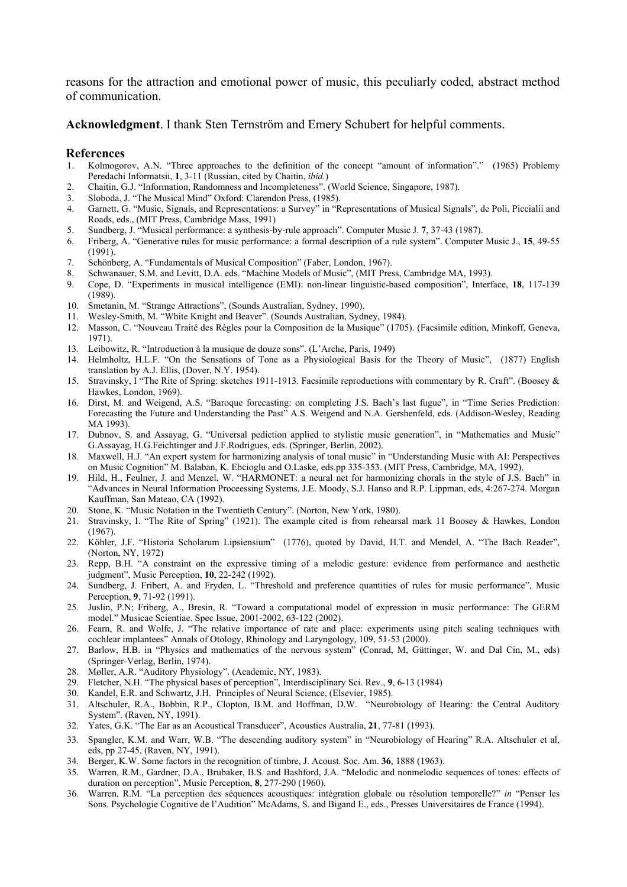reasons for the attraction and emotional power of music, this peculiarly coded, abstract method of communication.

**Acknowledgment**. I thank Sten Ternström and Emery Schubert for helpful comments.

#### **References**

- 1. Kolmogorov, A.N. "Three approaches to the definition of the concept "amount of information"." (1965) Problemy Peredachi Informatsii, **1**, 3-11 (Russian, cited by Chaitin, *ibid.*)
- 2. Chaitin, G.J. "Information, Randomness and Incompleteness". (World Science, Singapore, 1987).
- 3. Sloboda, J. "The Musical Mind" Oxford: Clarendon Press, (1985).
- 4. Garnett, G. "Music, Signals, and Representations: a Survey" in "Representations of Musical Signals", de Poli, Piccialii and Roads, eds., (MIT Press, Cambridge Mass, 1991)
- 5. Sundberg, J. "Musical performance: a synthesis-by-rule approach". Computer Music J. **7**, 37-43 (1987).
- 6. Friberg, A. "Generative rules for music performance: a formal description of a rule system". Computer Music J., **15**, 49-55 (1991).
- 7. Schönberg, A. "Fundamentals of Musical Composition" (Faber, London, 1967).
- 8. Schwanauer, S.M. and Levitt, D.A. eds. "Machine Models of Music", (MIT Press, Cambridge MA, 1993).
- 9. Cope, D. "Experiments in musical intelligence (EMI): non-linear linguistic-based composition", Interface, **18**, 117-139 (1989).
- 10. Smetanin, M. "Strange Attractions", (Sounds Australian, Sydney, 1990).
- 11. Wesley-Smith, M. "White Knight and Beaver". (Sounds Australian, Sydney, 1984).
- 12. Masson, C. "Nouveau Traité des Règles pour la Composition de la Musique" (1705). (Facsimile edition, Minkoff, Geneva, 1971).
- 13. Leibowitz, R. "Introduction à la musique de douze sons". (L'Arche, Paris, 1949)
- 14. Helmholtz, H.L.F. "On the Sensations of Tone as a Physiological Basis for the Theory of Music", (1877) English translation by A.J. Ellis, (Dover, N.Y. 1954).
- 15. Stravinsky, I "The Rite of Spring: sketches 1911-1913. Facsimile reproductions with commentary by R. Craft". (Boosey & Hawkes, London, 1969).
- 16. Dirst, M. and Weigend, A.S. "Baroque forecasting: on completing J.S. Bach's last fugue", in "Time Series Prediction: Forecasting the Future and Understanding the Past" A.S. Weigend and N.A. Gershenfeld, eds. (Addison-Wesley, Reading MA 1993).
- 17. Dubnov, S. and Assayag, G. "Universal pediction applied to stylistic music generation", in "Mathematics and Music" G.Assayag, H.G.Feichtinger and J.F.Rodrigues, eds. (Springer, Berlin, 2002).
- 18. Maxwell, H.J. "An expert system for harmonizing analysis of tonal music" in "Understanding Music with AI: Perspectives on Music Cognition" M. Balaban, K. Ebcioglu and O.Laske, eds.pp 335-353. (MIT Press, Cambridge, MA, 1992).
- 19. Hild, H., Feulner, J. and Menzel, W. "HARMONET: a neural net for harmonizing chorals in the style of J.S. Bach" in "Advances in Neural Information Proceessing Systems, J.E. Moody, S.J. Hanso and R.P. Lippman, eds, 4:267-274. Morgan Kauffman, San Mateao, CA (1992).
- 20. Stone, K. "Music Notation in the Twentieth Century". (Norton, New York, 1980).
- 21. Stravinsky, I. "The Rite of Spring" (1921). The example cited is from rehearsal mark 11 Boosey & Hawkes, London (1967).
- 22. Köhler, J.F. "Historia Scholarum Lipsiensium" (1776), quoted by David, H.T. and Mendel, A. "The Bach Reader", (Norton, NY, 1972)
- 23. Repp, B.H. "A constraint on the expressive timing of a melodic gesture: evidence from performance and aesthetic judgment", Music Perception, **10**, 22-242 (1992).
- 24. Sundberg, J. Fribert, A. and Fryden, L. "Threshold and preference quantities of rules for music performance", Music Perception, **9**, 71-92 (1991).
- 25. Juslin, P.N; Friberg, A., Bresin, R. "Toward a computational model of expression in music performance: The GERM model." Musicae Scientiae. Spec Issue, 2001-2002, 63-122 (2002).
- 26. Fearn, R. and Wolfe, J. "The relative importance of rate and place: experiments using pitch scaling techniques with cochlear implantees" Annals of Otology, Rhinology and Laryngology, 109, 51-53 (2000).
- 27. Barlow, H.B. in "Physics and mathematics of the nervous system" (Conrad, M, Güttinger, W. and Dal Cin, M., eds) (Springer-Verlag, Berlin, 1974).
- 28. Møller, A.R. "Auditory Physiology". (Academic, NY, 1983).
- 29. Fletcher, N.H. "The physical bases of perception", Interdisciplinary Sci. Rev., **9**, 6-13 (1984)
- 30. Kandel, E.R. and Schwartz, J.H. Principles of Neural Science, (Elsevier, 1985).
- 31. Altschuler, R.A., Bobbin, R.P., Clopton, B.M. and Hoffman, D.W. "Neurobiology of Hearing: the Central Auditory System". (Raven, NY, 1991).
- 32. Yates, G.K. "The Ear as an Acoustical Transducer", Acoustics Australia, **21**, 77-81 (1993).
- 33. Spangler, K.M. and Warr, W.B. "The descending auditory system" in "Neurobiology of Hearing" R.A. Altschuler et al, eds, pp 27-45, (Raven, NY, 1991).
- 34. Berger, K.W. Some factors in the recognition of timbre, J. Acoust. Soc. Am. **36**, 1888 (1963).
- 35. Warren, R.M., Gardner, D.A., Brubaker, B.S. and Bashford, J.A. "Melodic and nonmelodic sequences of tones: effects of duration on perception", Music Perception, **8**, 277-290 (1960).
- 36. Warren, R.M. "La perception des séquences acoustiques: intégration globale ou résolution temporelle?" *in* "Penser les Sons. Psychologie Cognitive de l'Audition" McAdams, S. and Bigand E., eds., Presses Universitaires de France (1994).